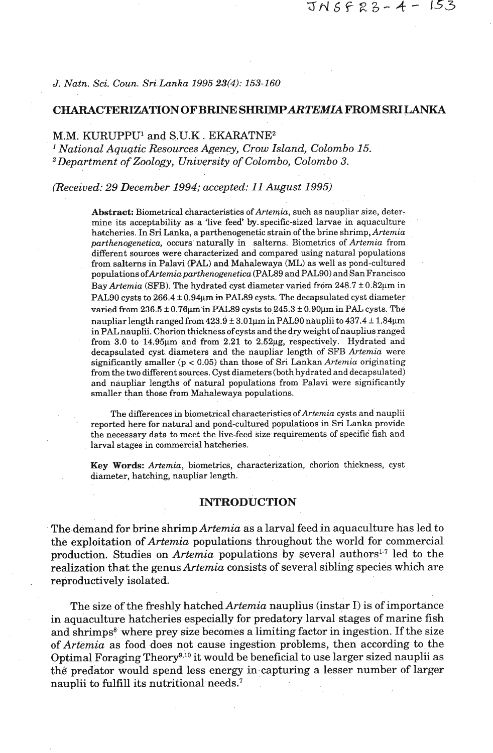*J. Natn.* **Sci.** *Coun.* **Sri** *Lanka 1995* **23(4):** *153-160* 

#### **CHARACWRIZATION OF BRINE SHRIMPARTEMU FROM SRILANKA**

# M.M. KURUPPU1 and S.U.K . **EKARATNE2**

*National Aquatic Resources Agency, Crow Island, Colombo 15. 2Department of Zoology, University of Colombo, Colombo 3.* 

*(Received: 29 December 1994; accepted: 11 August 1995)* 

Abstract: Biometrical characteristics of Artemia, such as naupliar size, determine its acceptability as a 'live feed' by specific-sized larvae in aquaculture hatcheries. In Sri Lanka, a parthenogenetic strain of the brine shrimp, Artemia parthenogenetica, occurs naturally in salterns. Biometrics of Artemia from different sources were characterized and compared using natural populations from salterns in Palavi (PAL) and Mahalewaya (ML) as well as pond-cultured populations *ofArtemiaparthenogenetica* (PAL89 and PALSO) and SanFrancisco Bay Artemia (SFB). The hydrated cyst diameter varied from  $248.7 \pm 0.82 \mu m$  in PAL90 cysts to 266.4 ± 0.94 $\mu$ m in PAL89 cysts. The decapsulated cyst diameter varied from  $236.5 \pm 0.76$ µm in PAL89 cysts to  $245.3 \pm 0.90$ µm in PAL cysts. The naupliar length ranged from  $423.9 \pm 3.01$ um in PAL90 nauplii to  $437.4 \pm 1.84$ µm in PALnauplii. Chorion thickness of cysts and the dry weight of nauplius ranged from 3.0 to  $14.95\mu m$  and from  $2.21$  to  $2.52\mu g$ , respectively. Hydrated and decapsulated cyst diameters and the naupliar length of SFB Artemia were significantly smaller ( $p < 0.05$ ) than those of Sri Lankan Artemia originating from the two different sources. Cyst diameters (both hydrated and decapsulated) and naupliar lengths of natural populations from Palavi were significantly smaller than those from Mahalewaya populations.

The differences in biometrical characteristics of Artemia cysts and nauplii reported here for natural and pond-cultured populations in Sri Lanka provide the necessary data to meet the live-feed size requirements of specific fish and larval stages in commercial hatcheries.

Key Words: Artemia, biometrics, characterization, chorion thickness, cyst diameter, hatching, naupliar length.

# **INTRODUCTION**

The demand for brine shrimp *Artemia* as a larval feed in aquaculture has led to the exploitation of *Artemia* populations throughout the world for commercial production. Studies on *Artemia* populations by several authors<sup>1-7</sup> led to the realization that the genus *Artemia* consists of several sibling species which are reproductively isolated.

The size of the freshly hatched *Artemia* nauplius (instar *I)* is of importance in aquaculture hatcheries especially for predatory larval stages of marine fish and shrimps<sup>8</sup> where prey size becomes a limiting factor in ingestion. If the size of *Artemia* as food does not cause ingestion problems, then according to the Optimal Foraging Theory<sup>9,10</sup> it would be beneficial to use larger sized nauplii as the predator would spend less energy in capturing a lesser number of larger nauplii to fulfill its nutritional needs.<sup>7</sup>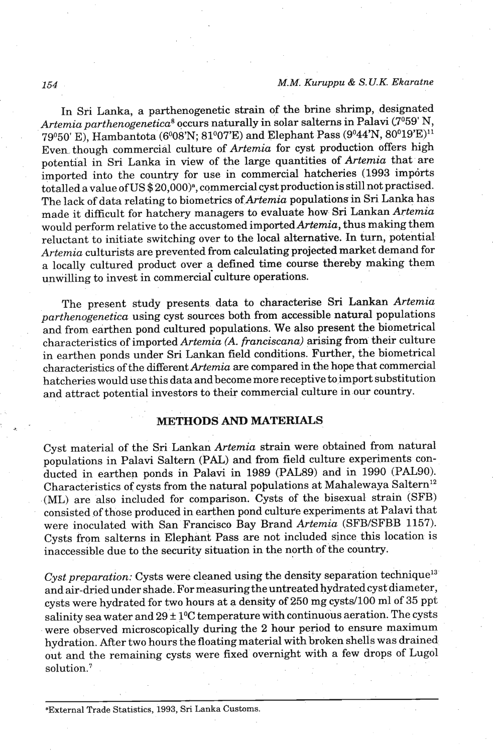# **M.M.** *Kuruppu* & *S. U.K. Ekaratne*

In Sri Lanka, a parthenogenetic strain of the brine shrimp, designated Artemia parthenogenetica<sup>8</sup> occurs naturally in solar salterns in Palavi ( $7^{\circ}59'$  N, 79°50' E), Hambantota (6°08'N; 81°07'E) and Elephant Pass (9°44'N, 80°19'E)<sup>11</sup> Even though commercial culture of Artemia for cyst production offers high potential in Sri Lanka in view of the large quantities of Artemia that are imported into the country for use in commercial hatcheries (1993 imports totalled a value of US \$20,000)<sup>a</sup>, commercial cyst production is still not practised. The lack of data relating to biometrics of Artemia populations in Sri Lanka has made it difficult for hatchery managers to evaluate how Sri Lankan Artemia would perform relative to the accustomed imported Artemia, thus making them reluctant to initiate switching over to the local alternative. In turn, potential Artemia culturists are prevented from calculating projected market demand for a locally cultured product over a defined time course thereby making them unwilling to invest in commerciai culture operations.

The present study presents data to characterise Sri Lankan Artemia parthenogenetica using cyst sources both from accessible natural populations and from earthen pond cultured populations. We also present the biometrical characteristics of imported Artemia (A. franciscana) arising from their culture in earthen ponds under Sri Lankan field conditions. Further, the biometrical characteristics of the different Artemia are compared in the hope that commercial hatcheries would use this data and become more receptive to import substitution and attract potential investors to their commercial culture in our country.

# **METHODS** AND **MATERIALS**

Cyst material of the Sri Lankan Artemia strain were obtained from natural populations in Palavi Saltern (PAL) and from field culture experiments conducted in earthen ponds in Palavi in 1989 (PAL89) and in 1990 (PALSO). Characteristics of cysts from the natural populations at Mahalewaya Saltern<sup>12</sup> (ML) are also included for comparison. Cysts of the bisexual strain (SFB) consisted of those produced in earthen pond culture experiments at Palavi that were inoculated with San Francisco Bay Brand Artemia (SFB/SFBB 1157). Cysts from salterns in Elephant Pass **are** not included since this location is inaccessible due to the security situation in the north of the country,

Cyst preparation: Cysts were cleaned using the density separation technique<sup>13</sup> and air-dried under shade. For measuring the untreated hydrated cyst diameter, cysts were hydrated for two hours at a density of 250 mg cysts/100 ml of 35 ppt salinity sea water and  $29 \pm 1$ <sup>o</sup>C temperature with continuous aeration. The cysts were observed microscopically during the 2 hour period to ensure maximum hydration. After two hours the floating material with broken shells was drained out and the remaining cysts were fixed overnight with a few drops of Lug01 solution.<sup>7</sup>

154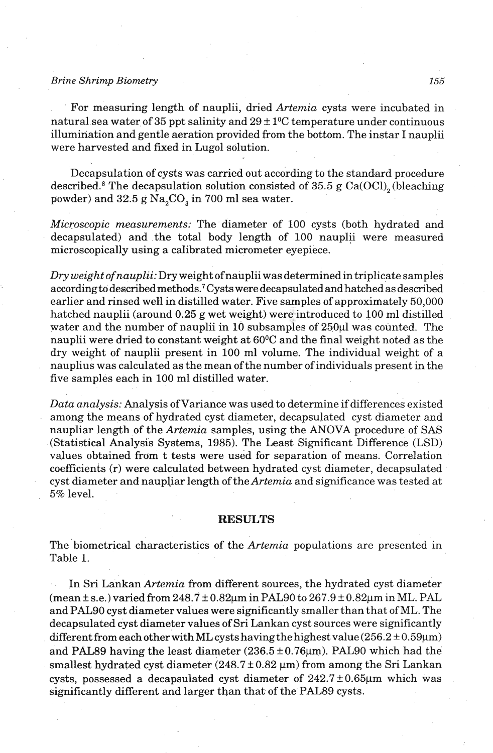#### *Brine Shrimp Biometry 155*

For measuring length of nauplii, dried *Artemia* cysts were incubated in natural sea water of 35 ppt salinity and  $29 \pm 1$ <sup>o</sup>C temperature under continuous illumination and gentle aeration provided from the bottom. The instar I nauplii were harvested and fixed in Lugol solution.

Decapsulation of cysts was carried out according to the standard procedure described.<sup>8</sup> The decapsulation solution consisted of 35.5 g Ca(OCl)<sub>2</sub> (bleaching powder) and 32.5 g Na,CO, in 700 ml sea water.

*Microscopic measurements:* The diameter of 100 cysts (both hydrated and decapsulated) and the total body length of 100 nauplii were measured microscopically using a calibrated micrometer eyepiece.

*Dry weight of nauplii: Dry* weight ofnauplii was determinedin triplicate samples according to described methods.<sup>7</sup> Cysts were decapsulated and hatched as described earlier and rinsed well in distilled water. Five samples of approximately 50,000 hatched nauplii (around 0.25 g wet weight) were introduced to 100 ml distilled water and the number of nauplii in  $10$  subsamples of  $250\mu$ l was counted. The nauplii were dried to constant weight at 60°C and the final weight noted as the dry weight of nauplii present in 100 ml volume. The individual weight of a nauplius was calculated as the mean of the number of individuals present in the five samples each in 100 ml distilled water.

Data analysis: Analysis of Variance was used to determine if differences existed among the means of hydrated cyst diameter, decapsulated cyst diameter and naupliar length of the *Artemia* samples, using the ANOVA procedure of SAS (Statistical Analysis Systems, 1985). The Least Significant Difference (LSD) values obtained from t tests were used for separation of means. Correlation coefficients (r) were calculated between hydrated cyst diameter, decapsulated cyst diameter and naupliar length of the *Artemia* and significance was tested at 5% level.

# **RESULTS**

The 'biometrical characteristics of the *Artemia* populations are presented in Table 1.

In Sri Lankan *Artemia* from different sources, the hydrated cyst diameter (mean  $\pm$  s.e.) varied from 248.7  $\pm$  0.82 $\mu$ m in PAL90 to 267.9  $\pm$  0.82 $\mu$ m in ML. PAL and PAL90 cyst diameter values were significantly smaller than that of ML. The decapsulated cyst diameter values of Sri Lankan cyst sources were significantly different from each other with ML cysts having the highest value ( $256.2 \pm 0.59 \mu m$ ) and PAL89 having the least diameter (236.5 ± 0.76 $\mu$ m). PAL90 which had the smallest hydrated cyst diameter (248.7 ± 0.82  $\mu$ m) from among the Sri Lankan cysts, possessed a decapsulated cyst diameter of  $242.7 \pm 0.65 \mu m$  which was significantly different and larger than that of the PAL89 cysts.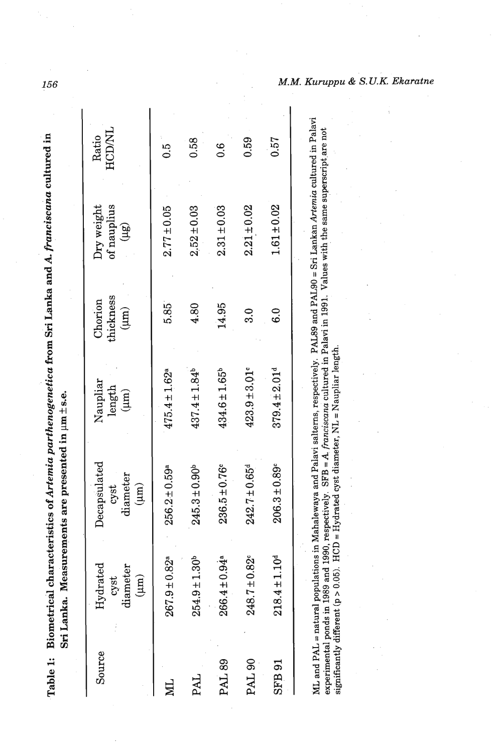| $-20$ and $-20$<br>metica from Sri Lanka and A. france.<br>$\sim$ A set cover $\sim$ m.<br>Table 1: | $-1 - 1 - 1 = 2 - 1$<br>$  \alpha$ meason to $\alpha$ in limit $\alpha$<br>al C<br>i<br>C<br>ka.<br>Sri Lan |
|-----------------------------------------------------------------------------------------------------|-------------------------------------------------------------------------------------------------------------|
|                                                                                                     |                                                                                                             |

156

|                                                                                                                 |                               |                               |                               |                               |                               | M.M. |
|-----------------------------------------------------------------------------------------------------------------|-------------------------------|-------------------------------|-------------------------------|-------------------------------|-------------------------------|------|
| Ratio<br>HCD/NL                                                                                                 | $\ddot{5}$                    | 0.58                          | o.c                           | 0.59                          | 0.57                          |      |
| $\begin{array}{c} \mathrm{Dry} \ \mathrm{weight} \ \mathrm{of} \ \mathrm{naplius} \ \mathrm{upins} \end{array}$ | $2.77 \pm 0.05$               | $2.52 \pm 0.03$               | $2.31 \pm 0.03$               | $2.21 \pm 0.02$               | $1.61 \pm 0.02$               |      |
| $\begin{array}{c} \text{Chorion}\\ \text{thickness}\\ \text{(µm)} \end{array}$                                  | 5.85                          | 4.80                          | 14.95                         | ್ಲ<br>ನಿ                      | $\frac{0}{6}$                 |      |
| $\begin{array}{c} \mathrm{Napliar} \\ \mathrm{length} \\ (\mu\mathrm{m}) \end{array}$                           | $475.4 \pm 1.62$ <sup>a</sup> | $437.4 \pm 1.84$ <sup>b</sup> | $434.6 \pm 1.65^b$            | $423.9 \pm 3.01$ <sup>c</sup> | $379.4 \pm 2.01d$             |      |
| Decapsulated<br>$\frac{\text{cyst}}{\text{diameter}}$<br>( $\mu$ m)                                             | $256.2 \pm 0.59$ <sup>a</sup> | $245.3 \pm 0.90^b$            | $236.5 \pm 0.76$              | $242.7 \pm 0.65^d$            | $206.3 \pm 0.89$ <sup>c</sup> |      |
| Hydrated<br>diameter<br>$(\mu m)$<br>cyst                                                                       | $267.9 \pm 0.82$ <sup>a</sup> | $254.9 \pm 1.30^b$            | $266.4 \pm 0.94$ <sup>a</sup> | $248.7 \pm 0.82$ <sup>c</sup> | $218.4 \pm 1.10$ <sup>d</sup> |      |
| Source                                                                                                          |                               | PAI                           | <b>PAL 89</b>                 | PAL <sub>90</sub>             | SFB 91                        |      |

experimental ponds in 1989 and 1990, respectively. **SFB =A.** *franciscana* cultured in Palavi in 1991. Values with the same superscript are not 2 significantly different (p > 0.05). **HCD** = Hydrated cyst diameter, NL = Naupliar length. g **F:** ML and PAL = natural populations in Mahalewaya and Palavi salterns, respectively. PAL89 and PAL90 = Sri Lankan **hternia** cultured in Palavi ML and PAL = natural populations in Mahalewaya and Palavi salterns, respectively. PAL89 and PAL90 = Sri Lankan Artemia cultured in Palavi ML and FAL = natural populations in Manadewaya and rate, wall and politically controlled in Palavi in 1991. Values with the same superscript are not significantly different (p > 0.05). HCD = Hydrated cyst diameter, NL = Na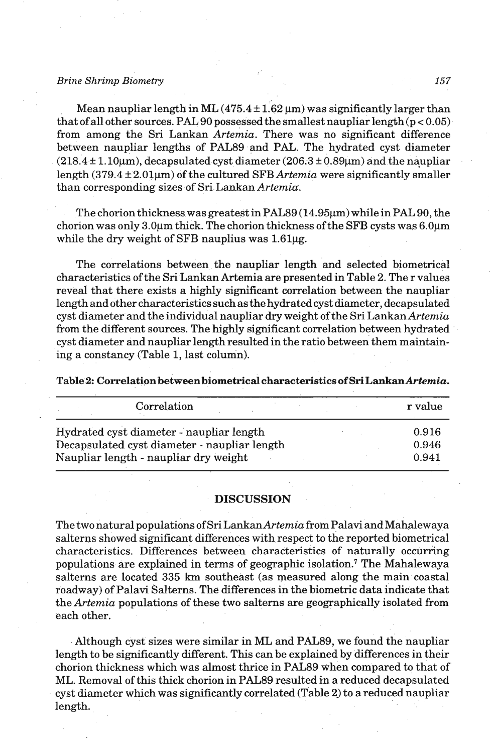#### *Brine Shrimp Biometry*

Mean naupliar length in ML  $(475.4 \pm 1.62 \,\mu m)$  was significantly larger than that of all other sources. PAL 90 possessed the smallest naupliar length  $(p < 0.05)$ from among the Sri Lankan Artemia. There was no significant difference between naupliar lengths of PAL89 and PAL. The hydrated cyst diameter  $(218.4 \pm 1.10 \mu m)$ , decapsulated cyst diameter  $(206.3 \pm 0.89 \mu m)$  and the naupliar length  $(379.4 \pm 2.01 \mu m)$  of the cultured SFB Artemia were significantly smaller than corresponding sizes of Sri Lankan Artemia.

The chorion thickness was greatest in PAL89 (14.95 $\mu$ m) while in PAL 90, the chorion was only  $3.0\mu$ m thick. The chorion thickness of the SFB cysts was  $6.0\mu$ m while the dry weight of SFB nauplius was 1.61µg.

The correlations between the naupliar length and selected biometrical characteristics of the Sri Lankan Artemia are presented in Table 2. The r values reveal that there exists a highly significant correlation between the naupliar length and other characteristics such as the hydrated cyst diameter, decapsulated cyst diameter and the individual naupliar dry weight of the Sri Lankan Artemia from the different sources. The highly significant correlation between hydrated cyst diameter and naupliar length resulted in the ratio between them maintaining a constancy (Table 1, last column).

Table.2: Correlatipn between biometrical characteristics of **Sri Lankan Artemia.** 

| Correlation                                  | r value |
|----------------------------------------------|---------|
| Hydrated cyst diameter - naupliar length     | 0.916   |
| Decapsulated cyst diameter - naupliar length | 0.946   |
| Naupliar length - naupliar dry weight        | 0.941   |

#### **DISCUSSION**

The two natural populations of Sri LankanArtemia from Palavi and Mahalewaya salterns showed significant differences with respect to the reported biometrical characteristics. Differences between characteristics of naturally occurring populations are explained in terms of geographic isolation.<sup>7</sup> The Mahalewaya salterns are located 335 **km** southeast (as measured along the main coastal roadway) of Palavi Salterns. The differences in the biometric data indicate that the Artemia populations of these two salterns are geographically isolated from each other.

Although cyst sizes were similar in **ML** and PAL89, we found the naupliar length to be significantly different. This can be explained by differences in their chorion thickness which was almost thrice in PAL89 when compared to that of ML. Removal of this thick chorion in PAL89 resulted in a reduced decapsulated cyst diameter which was significantly correlated (Table 2) to a reduced naupliar length.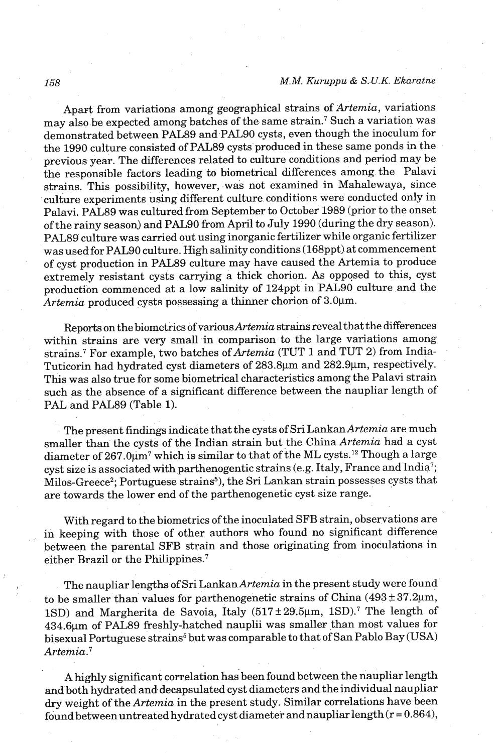### *M.M. Kuruppu* & *S.-U.K. Ekaratne*

Apart from variations among geographical strains of Artemia, variations may also be expected among batches of the same strain.<sup>7</sup> Such a variation was demonstrated between PAL89 and PAL90 cysts, even though the inoculum for the 1990 culture consisted of PAL89 cysts produced in these same ponds in the previous year. The differences related to culture conditions and period may be the responsible factors leading to biometrical differences among the Palavi strains. This possibility, however, was not examined in Mahalewaya, since culture experiments using different culture conditions were conducted only in Palavi. PAL89 was cultured from September to October 1989 (prior to the onset of the rainy season) and PAL90 from April to July 1990 (during the dry season). PAL89 culture was carried out using inorganic fertilizer while organic fertilizer was used for PAL90 culture. High salinity conditions (168ppt) at commencement of cyst production in PAL89 culture may have caused the Artemia to produce extremely resistant cysts carrying a thick chorion. **As** opposed to this, cyst production commenced at a low salinity of 124ppt in PAL90 culture and the Artemia produced cysts possessing a thinner chorion of  $3.0 \mu m$ .

Reports on the biometrics of variousArtemia strains reveal that the differences within strains are very small in comparison to the large variations among strains.<sup>7</sup> For example, two batches of  $Artemia$  (TUT 1 and TUT 2) from India-Tuticorin had hydrated cyst diameters of 283.8µm and 282.9µm, respectively. This was also true for some biometrical characteristics among the Palavi strain such as the absence of a significant difference between the naupliar length of PAL and PAL89 (Table 1).

The present findings indicate that the cysts of Sri Lankan Artemia are much smaller than the cysts of the Indian strain but the China Artemia had a cyst diameter of  $267.0 \mu m^7$  which is similar to that of the ML cysts.<sup>12</sup> Though a large cyst size is associated with parthenogentic strains (e.g. Italy, France and India<sup>7</sup>; Milos-Greece<sup>2</sup>; Portuguese strains<sup>5</sup>), the Sri Lankan strain possesses cysts that are towards the lower end of the parthenogenetic cyst size range.

With regard to the biometrics of the inoculated SFB strain, observations are in keeping with those of other authors who found no significant difference between the parental SFB strain and those originating from inoculations in either Brazil or the Philippines. $^7$ 

The naupliar lengths of Sri Lankan Artemia in the present study were found to be smaller than values for parthenogenetic strains of China  $(493 \pm 37.2 \mu m,$ 1SD) and Margherita de Savoia, Italy  $(517 \pm 29.5 \mu m, 1SD)^7$  The length of 434.6pm of PAL89 freshly-hatched nauplii was smaller than most values for bisexual Portuguese strains<sup>5</sup> but was comparable to that of San Pablo Bay (USA)  $Artemia.<sup>7</sup>$ 

**A** highly significant correlation has been found between the naupliar length and both hydrated and decapsulated cyst diameters and the individual naupliar dry weight of the Artemia in the present study. Similar correlations have been found between untreated hydrated cyst diameter and naupliar length  $(r = 0.864)$ ,

158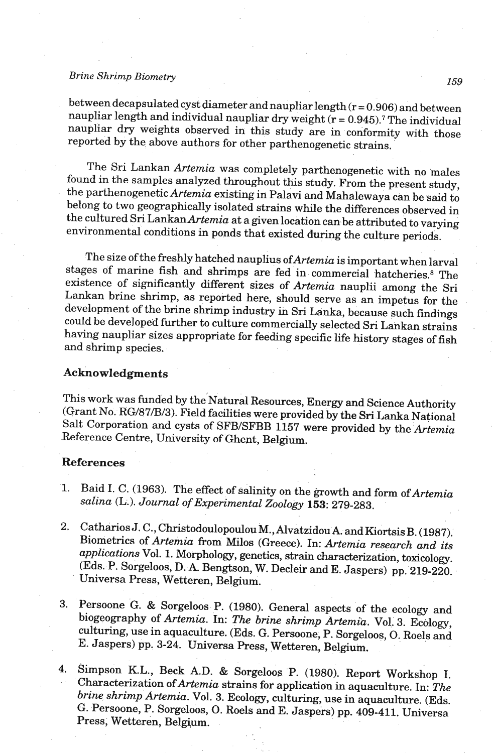# *Brine Shrimp Biometry*

between decapsulated cyst diameter and naupliar length ( $r = 0.906$ ) and between naupliar length and individual naupliar dry weight  $(r = 0.945)$ .<sup>7</sup> The individual naupliar dry weights observed in this study are in conformity with those reported by the above authors for other parthenogenetic strains.

The Sri Lankan Artemia was completely parthenogenetic with no males found in the samples analyzed throughout this study. From the present study, the parthenogenetic Artemia existing in Palavi and Mahalewaya can be said to belong to two geographically isolated strains while the differences observed in the cultured Sri Lankan Artemia at a given location can be attributed to varying environmental conditions in ponds that existed during the culture periods.

The size of the freshly hatched nauplius of Artemia is important when larval stages of marine fish and shrimps are fed in commercial hatcheries.<sup>8</sup> The existence of significantly different sizes of Artemia nauplii among the Sri Lankan brine shrimp, as reported here, should serve as an impetus for the development of the brine shrimp industry in Sri Lanka, because such findings could be developed further to culture commercially selected Sri Lankan strains having naupliar sizes appropriate for feeding specific life history stages of fish and shrimp species.

### **Acknowledgments**

This work was funded by the Natural Resources, Energy and Science Authority (Grant No. RG/87/B/3). Field facilities were provided by the **Sri** Lanka National Salt Corporation and cysts of SFB/SFBB 1157 were provided by the Artemia Reference Centre, University of Ghent, Belgium.

# References

- 1. Baid I. C. (1963). The effect of salinity on the growth and form of Artemia salina **(L.).** Journal of Experimental Zoology 153: 279-283.
- 2. Catharios J. C., Christodoulopoulou M., Alvatzidou A. and Kiortsis B. (1987). Biometrics of Artemia from Milos (Greece). In: Artemia research and its applications Vol. 1. Morphology, genetics, strain characterization, toxicology. (Eds. P. Sorgeloos, D. A. Bengtson, W. Decleir and E. Jaspers) pp. 219-220. Universa Press, Wetteren, Belgium.
- 3. Persoone G. & Sorgeloos P. (1980). General aspects of the ecology and biogeography of Artemia. In: The brine shrimp Artemia. Vol. 3. Ecology, culturing, use in aquaculture. (Eds. G. Persoone, P. Sorgeloos, **0.** Roels and E. Jaspers) pp. 3-24. Universa Press, Wetteren, Belgium.
- 4. Simpson K.L., Beck A.D. & Sorgeloos P. (1980). Report Workshop I. Characterization ofArtemia **strains** for application in aquaculture. In: The brine shrimp Artemia. Vol. 3. Ecology, culturing, use in aquaculture. (Eds. G. Persoone, P. Sorgeloos, **0.** Roels and E. Jaspers) pp. 409-411. Universa Press, Wetteren, Belgium.